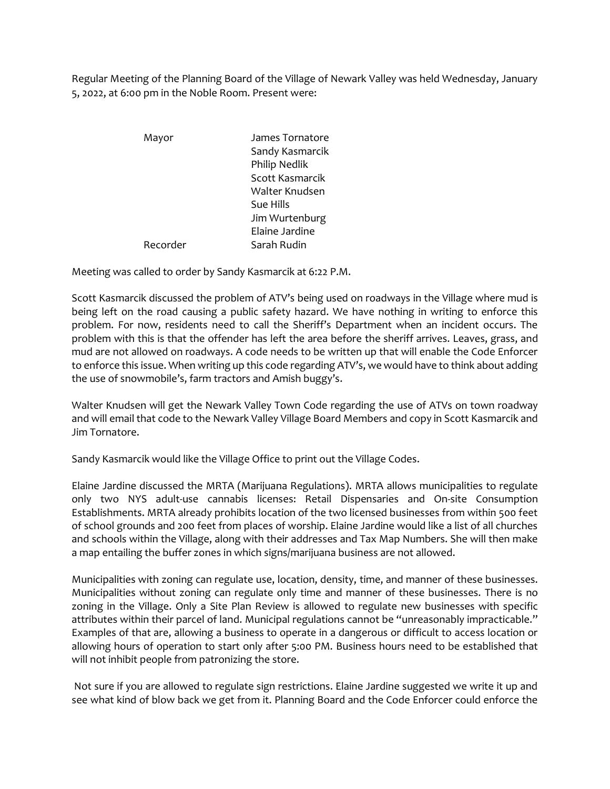Regular Meeting of the Planning Board of the Village of Newark Valley was held Wednesday, January 5, 2022, at 6:00 pm in the Noble Room. Present were:

> Mayor James Tornatore Sandy Kasmarcik Philip Nedlik Scott Kasmarcik Walter Knudsen Sue Hills Jim Wurtenburg Elaine Jardine Recorder Sarah Rudin

Meeting was called to order by Sandy Kasmarcik at 6:22 P.M.

Scott Kasmarcik discussed the problem of ATV's being used on roadways in the Village where mud is being left on the road causing a public safety hazard. We have nothing in writing to enforce this problem. For now, residents need to call the Sheriff's Department when an incident occurs. The problem with this is that the offender has left the area before the sheriff arrives. Leaves, grass, and mud are not allowed on roadways. A code needs to be written up that will enable the Code Enforcer to enforce this issue. When writing up this code regarding ATV's, we would have to think about adding the use of snowmobile's, farm tractors and Amish buggy's.

Walter Knudsen will get the Newark Valley Town Code regarding the use of ATVs on town roadway and will email that code to the Newark Valley Village Board Members and copy in Scott Kasmarcik and Jim Tornatore.

Sandy Kasmarcik would like the Village Office to print out the Village Codes.

Elaine Jardine discussed the MRTA (Marijuana Regulations). MRTA allows municipalities to regulate only two NYS adult-use cannabis licenses: Retail Dispensaries and On-site Consumption Establishments. MRTA already prohibits location of the two licensed businesses from within 500 feet of school grounds and 200 feet from places of worship. Elaine Jardine would like a list of all churches and schools within the Village, along with their addresses and Tax Map Numbers. She will then make a map entailing the buffer zones in which signs/marijuana business are not allowed.

Municipalities with zoning can regulate use, location, density, time, and manner of these businesses. Municipalities without zoning can regulate only time and manner of these businesses. There is no zoning in the Village. Only a Site Plan Review is allowed to regulate new businesses with specific attributes within their parcel of land. Municipal regulations cannot be "unreasonably impracticable." Examples of that are, allowing a business to operate in a dangerous or difficult to access location or allowing hours of operation to start only after 5:00 PM. Business hours need to be established that will not inhibit people from patronizing the store.

Not sure if you are allowed to regulate sign restrictions. Elaine Jardine suggested we write it up and see what kind of blow back we get from it. Planning Board and the Code Enforcer could enforce the